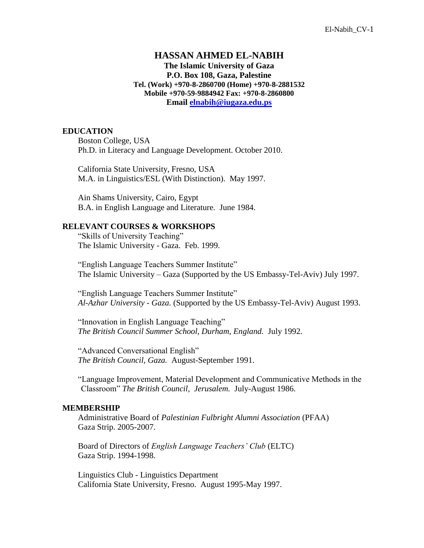# **HASSAN AHMED EL-NABIH**

**The Islamic University of Gaza P.O. Box 108, Gaza, Palestine Tel. (Work) +970-8-2860700 (Home) +970-8-2881532 Mobile +970-59-9884942 Fax: +970-8-2860800 Email [elnabih@iugaza.edu.ps](mailto:elnabih@iugaza.edu.ps)**

#### **EDUCATION**

Boston College, USA Ph.D. in Literacy and Language Development. October 2010.

California State University, Fresno, USA M.A. in Linguistics/ESL (With Distinction). May 1997.

Ain Shams University, Cairo, Egypt B.A. in English Language and Literature. June 1984.

## **RELEVANT COURSES & WORKSHOPS**

"Skills of University Teaching" The Islamic University - Gaza. Feb. 1999.

"English Language Teachers Summer Institute" The Islamic University – Gaza (Supported by the US Embassy-Tel-Aviv) July 1997.

"English Language Teachers Summer Institute" *Al-Azhar University - Gaza.* (Supported by the US Embassy-Tel-Aviv) August 1993.

"Innovation in English Language Teaching" *The British Council Summer School, Durham, England.* July 1992.

"Advanced Conversational English" *The British Council, Gaza.* August-September 1991.

"Language Improvement, Material Development and Communicative Methods in the Classroom" *The British Council, Jerusalem.* July-August 1986.

#### **MEMBERSHIP**

Administrative Board of *Palestinian Fulbright Alumni Association* (PFAA) Gaza Strip. 2005-2007.

Board of Directors of *English Language Teachers' Club* (ELTC) Gaza Strip. 1994-1998.

Linguistics Club - Linguistics Department California State University, Fresno. August 1995-May 1997.